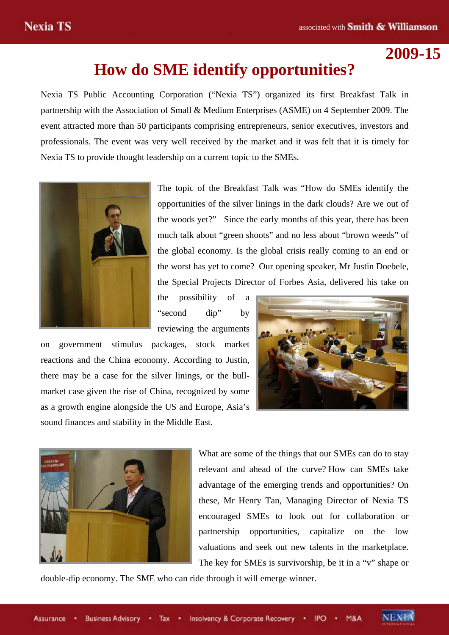# **2009-15**

# **How do SME identify opportunities?**

Nexia TS Public Accounting Corporation ("Nexia TS") organized its first Breakfast Talk in partnership with the Association of Small & Medium Enterprises (ASME) on 4 September 2009. The event attracted more than 50 participants comprising entrepreneurs, senior executives, investors and professionals. The event was very well received by the market and it was felt that it is timely for Nexia TS to provide thought leadership on a current topic to the SMEs.



The topic of the Breakfast Talk was "How do SMEs identify the opportunities of the silver linings in the dark clouds? Are we out of the woods yet?" Since the early months of this year, there has been much talk about "green shoots" and no less about "brown weeds" of the global economy. Is the global crisis really coming to an end or the worst has yet to come? Our opening speaker, Mr Justin Doebele, the Special Projects Director of Forbes Asia, delivered his take on

the possibility of a "second dip" by reviewing the arguments

on government stimulus packages, stock market reactions and the China economy. According to Justin, there may be a case for the silver linings, or the bullmarket case given the rise of China, recognized by some as a growth engine alongside the US and Europe, Asia's sound finances and stability in the Middle East.





What are some of the things that our SMEs can do to stay relevant and ahead of the curve? How can SMEs take advantage of the emerging trends and opportunities? On these, Mr Henry Tan, Managing Director of Nexia TS encouraged SMEs to look out for collaboration or partnership opportunities, capitalize on the low valuations and seek out new talents in the marketplace. The key for SMEs is survivorship, be it in a "v" shape or

double-dip economy. The SME who can ride through it will emerge winner.